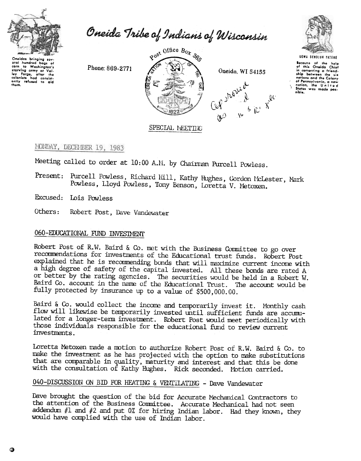

starving army at Value<br>ley Forge, after the<br>colonists had consist-<br>antly refused to aid

thom.

Oneida Tribe of Indians of Wisconsin

Phone: 869-2771



Oneida, WI 54155 Got enough et x



Secause of the help<br>of this Oneida Chief in comenting a friend. nations and the Colony<br>of Pennsylvania, a new nation, the United<br>States was made possible.

## SPECIAL MEETING

## MONDAY, DECEMBER 19, 1983

Meeting called to order at 10:00 A.M. by Chairman Purcell Powless.

Present: Purcell Powless, Richard Hill, Kathy Hughes, Gordon McLester, Mark Powless, Lloyd Powless, Tony Benson, Loretta V. Metoxen.

Excused: Lois Powless

Robert Post, Dave Vandewater Others:

## 060-EDUCATIONAL FUND INVESTMENT

Robert Post of R.W. Baird & Co. met with the Business Committee to go over recommendations for investments of the Educational trust funds. Robert Post explained that he is recommending bonds that will maximize current income with a high degree of safety of the capital invested. All these bonds are rated A or better by the rating agencies. The securities would be held in a Robert W. Baird Co. account in the name of the Educational Trust. The account would be fully protected by insurance up to a value of \$500,000.00.

Baird & Co. would collect the income and temporarily invest it. Monthly cash flow will likewise be temporarily invested until sufficient funds are accumulated for a longer-term investment. Robert Post would meet periodically with those individuals responsible for the educational fund to review current investments.

Loretta Metoxen made a motion to authorize Robert Post of R.W. Baird & Co. to make the investment as he has projected with the option to make substitutions that are comparable in quality, maturity and interest and that this be done with the consultation of Kathy Hughes. Rick seconded. Motion carried.

## 040-DISCUSSION ON BID FOR HEATING & VENTILATING - Dave Vandewater

Dave brought the question of the bid for Accurate Mechanical Contractors to the attention of the Business Committee. Accurate Mechanical had not seen addendum  $#1$  and  $#2$  and put 0% for hiring Indian labor. Had they known, they would have complied with the use of Indian labor.